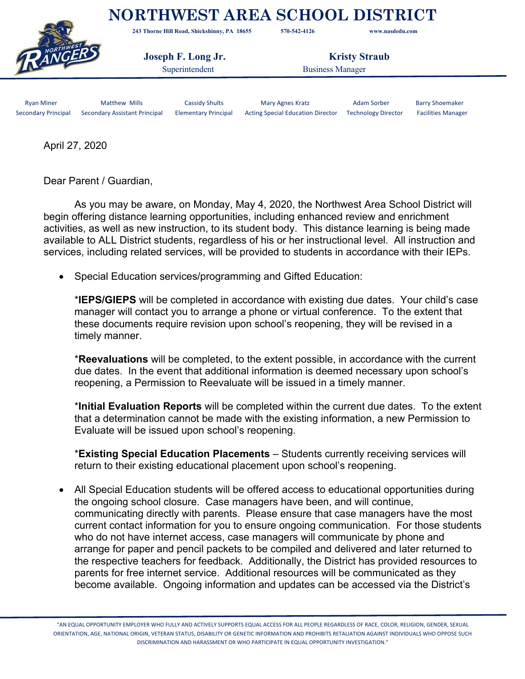**NORTHWEST AREA SCHOOL DISTRICT**

 **243 Thorne Hill Road, Shickshinny, PA 18655 570-542-4126 www.nasdedu.com**



 **Joseph F. Long Jr. Kristy Straub** 

Superintendent Business Manager

Ryan Miner **Matthew Mills Cassidy Shults** Mary Agnes Kratz Adam Sorber Barry Shoemaker Adam Sorber Barry Shoemaker Secondary Principal Secondary Assistant Principal Elementary Principal Acting Special Education Director Technology Director Facilities Manager

April 27, 2020

Dear Parent / Guardian,

As you may be aware, on Monday, May 4, 2020, the Northwest Area School District will begin offering distance learning opportunities, including enhanced review and enrichment activities, as well as new instruction, to its student body. This distance learning is being made available to ALL District students, regardless of his or her instructional level. All instruction and services, including related services, will be provided to students in accordance with their IEPs.

• Special Education services/programming and Gifted Education:

\***IEPS/GIEPS** will be completed in accordance with existing due dates. Your child's case manager will contact you to arrange a phone or virtual conference. To the extent that these documents require revision upon school's reopening, they will be revised in a timely manner.

\***Reevaluations** will be completed, to the extent possible, in accordance with the current due dates. In the event that additional information is deemed necessary upon school's reopening, a Permission to Reevaluate will be issued in a timely manner.

\***Initial Evaluation Reports** will be completed within the current due dates. To the extent that a determination cannot be made with the existing information, a new Permission to Evaluate will be issued upon school's reopening.

\***Existing Special Education Placements** – Students currently receiving services will return to their existing educational placement upon school's reopening.

• All Special Education students will be offered access to educational opportunities during the ongoing school closure. Case managers have been, and will continue, communicating directly with parents. Please ensure that case managers have the most current contact information for you to ensure ongoing communication. For those students who do not have internet access, case managers will communicate by phone and arrange for paper and pencil packets to be compiled and delivered and later returned to the respective teachers for feedback. Additionally, the District has provided resources to parents for free internet service. Additional resources will be communicated as they become available. Ongoing information and updates can be accessed via the District's

<sup>&</sup>quot;AN EQUAL OPPORTUNITY EMPLOYER WHO FULLY AND ACTIVELY SUPPORTS EQUAL ACCESS FOR ALL PEOPLE REGARDLESS OF RACE, COLOR, RELIGION, GENDER, SEXUAL ORIENTATION, AGE, NATIONAL ORIGIN, VETERAN STATUS, DISABILITY OR GENETIC INFORMATION AND PROHIBITS RETALIATION AGAINST INDIVIDUALS WHO OPPOSE SUCH DISCRIMINATION AND HARASSMENT OR WHO PARTICIPATE IN EQUAL OPPORTUNITY INVESTIGATION."